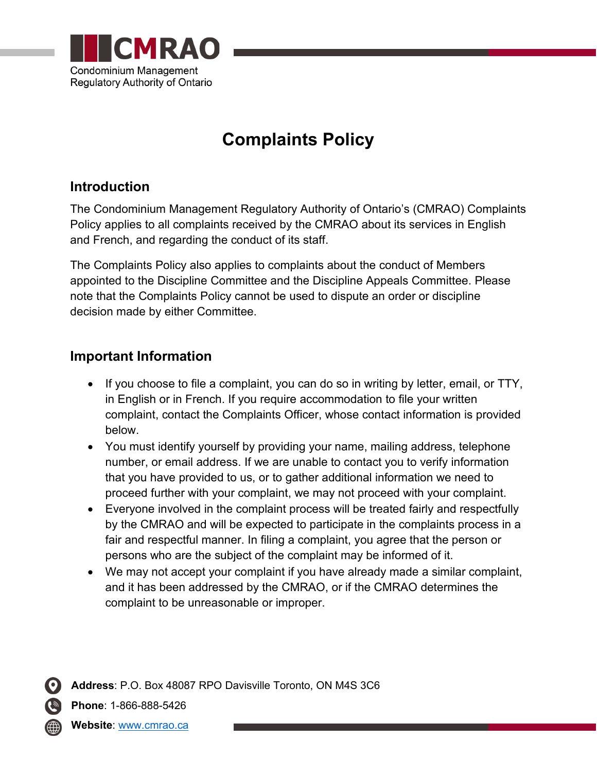

# **Complaints Policy**

# **Introduction**

The Condominium Management Regulatory Authority of Ontario's (CMRAO) Complaints Policy applies to all complaints received by the CMRAO about its services in English and French, and regarding the conduct of its staff.

The Complaints Policy also applies to complaints about the conduct of Members appointed to the Discipline Committee and the Discipline Appeals Committee. Please note that the Complaints Policy cannot be used to dispute an order or discipline decision made by either Committee.

## **Important Information**

- If you choose to file a complaint, you can do so in writing by letter, email, or TTY, in English or in French. If you require accommodation to file your written complaint, contact the Complaints Officer, whose contact information is provided below.
- You must identify yourself by providing your name, mailing address, telephone number, or email address. If we are unable to contact you to verify information that you have provided to us, or to gather additional information we need to proceed further with your complaint, we may not proceed with your complaint.
- Everyone involved in the complaint process will be treated fairly and respectfully by the CMRAO and will be expected to participate in the complaints process in a fair and respectful manner. In filing a complaint, you agree that the person or persons who are the subject of the complaint may be informed of it.
- We may not accept your complaint if you have already made a similar complaint, and it has been addressed by the CMRAO, or if the CMRAO determines the complaint to be unreasonable or improper.

**Address**: P.O. Box 48087 RPO Davisville Toronto, ON M4S 3C6

**Phone**: 1-866-888-5426

**Website**: [www.cmrao.ca](http://www.cmrao.ca/)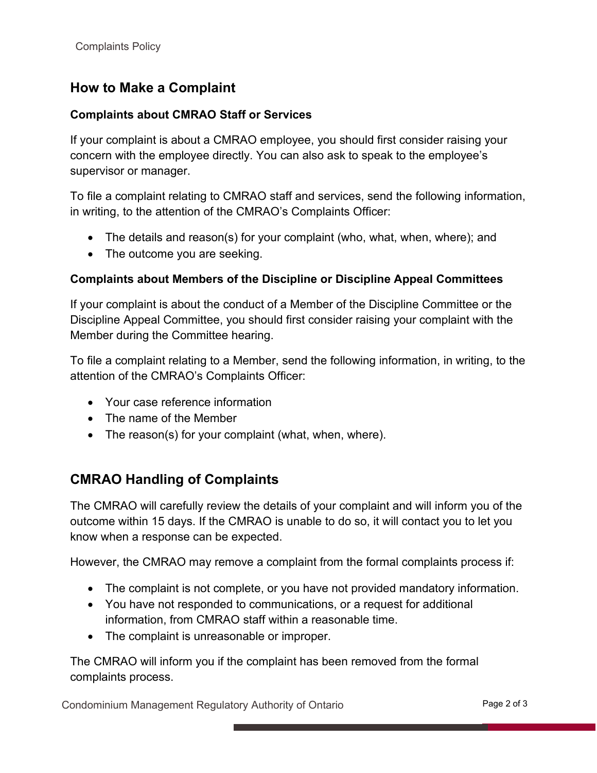## **How to Make a Complaint**

#### **Complaints about CMRAO Staff or Services**

If your complaint is about a CMRAO employee, you should first consider raising your concern with the employee directly. You can also ask to speak to the employee's supervisor or manager.

To file a complaint relating to CMRAO staff and services, send the following information, in writing, to the attention of the CMRAO's Complaints Officer:

- The details and reason(s) for your complaint (who, what, when, where); and
- The outcome you are seeking.

#### **Complaints about Members of the Discipline or Discipline Appeal Committees**

If your complaint is about the conduct of a Member of the Discipline Committee or the Discipline Appeal Committee, you should first consider raising your complaint with the Member during the Committee hearing.

To file a complaint relating to a Member, send the following information, in writing, to the attention of the CMRAO's Complaints Officer:

- Your case reference information
- The name of the Member
- The reason(s) for your complaint (what, when, where).

## **CMRAO Handling of Complaints**

The CMRAO will carefully review the details of your complaint and will inform you of the outcome within 15 days. If the CMRAO is unable to do so, it will contact you to let you know when a response can be expected.

However, the CMRAO may remove a complaint from the formal complaints process if:

- The complaint is not complete, or you have not provided mandatory information.
- You have not responded to communications, or a request for additional information, from CMRAO staff within a reasonable time.
- The complaint is unreasonable or improper.

The CMRAO will inform you if the complaint has been removed from the formal complaints process.

Condominium Management Regulatory Authority of Ontario **Page 2 of 3**